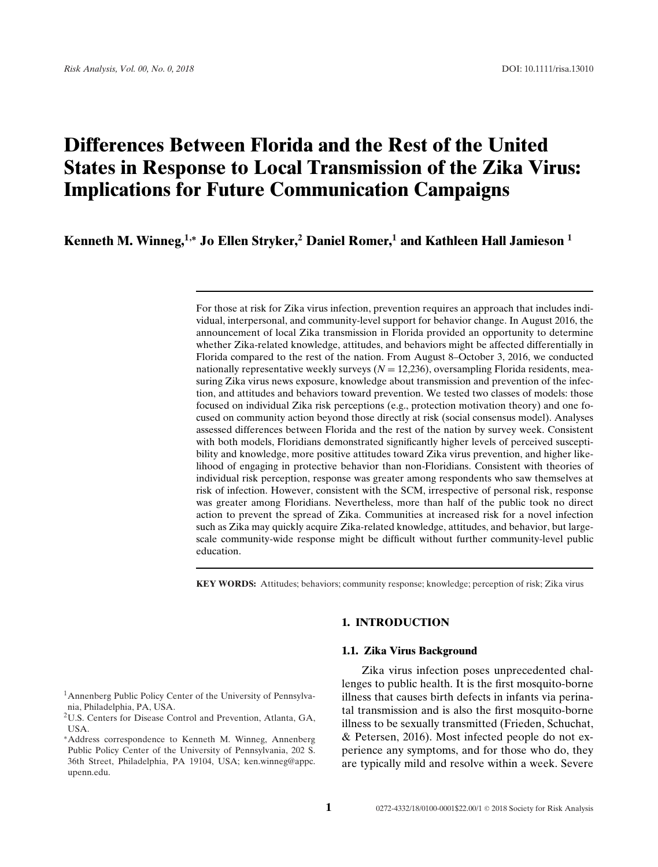# **Differences Between Florida and the Rest of the United States in Response to Local Transmission of the Zika Virus: Implications for Future Communication Campaigns**

**Kenneth M. Winneg,1,<sup>∗</sup> Jo Ellen Stryker,<sup>2</sup> Daniel Romer,<sup>1</sup> and Kathleen Hall Jamieson <sup>1</sup>**

For those at risk for Zika virus infection, prevention requires an approach that includes individual, interpersonal, and community-level support for behavior change. In August 2016, the announcement of local Zika transmission in Florida provided an opportunity to determine whether Zika-related knowledge, attitudes, and behaviors might be affected differentially in Florida compared to the rest of the nation. From August 8–October 3, 2016, we conducted nationally representative weekly surveys  $(N = 12,236)$ , oversampling Florida residents, measuring Zika virus news exposure, knowledge about transmission and prevention of the infection, and attitudes and behaviors toward prevention. We tested two classes of models: those focused on individual Zika risk perceptions (e.g., protection motivation theory) and one focused on community action beyond those directly at risk (social consensus model). Analyses assessed differences between Florida and the rest of the nation by survey week. Consistent with both models, Floridians demonstrated significantly higher levels of perceived susceptibility and knowledge, more positive attitudes toward Zika virus prevention, and higher likelihood of engaging in protective behavior than non-Floridians. Consistent with theories of individual risk perception, response was greater among respondents who saw themselves at risk of infection. However, consistent with the SCM, irrespective of personal risk, response was greater among Floridians. Nevertheless, more than half of the public took no direct action to prevent the spread of Zika. Communities at increased risk for a novel infection such as Zika may quickly acquire Zika-related knowledge, attitudes, and behavior, but largescale community-wide response might be difficult without further community-level public education.

**KEY WORDS:** Attitudes; behaviors; community response; knowledge; perception of risk; Zika virus

# **1. INTRODUCTION**

#### **1.1. Zika Virus Background**

1Annenberg Public Policy Center of the University of Pennsylvania, Philadelphia, PA, USA.

- 2U.S. Centers for Disease Control and Prevention, Atlanta, GA, USA.
- ∗Address correspondence to Kenneth M. Winneg, Annenberg Public Policy Center of the University of Pennsylvania, 202 S. 36th Street, Philadelphia, PA 19104, USA; ken.winneg@appc. upenn.edu.

Zika virus infection poses unprecedented challenges to public health. It is the first mosquito-borne illness that causes birth defects in infants via perinatal transmission and is also the first mosquito-borne illness to be sexually transmitted (Frieden, Schuchat, & Petersen, 2016). Most infected people do not experience any symptoms, and for those who do, they are typically mild and resolve within a week. Severe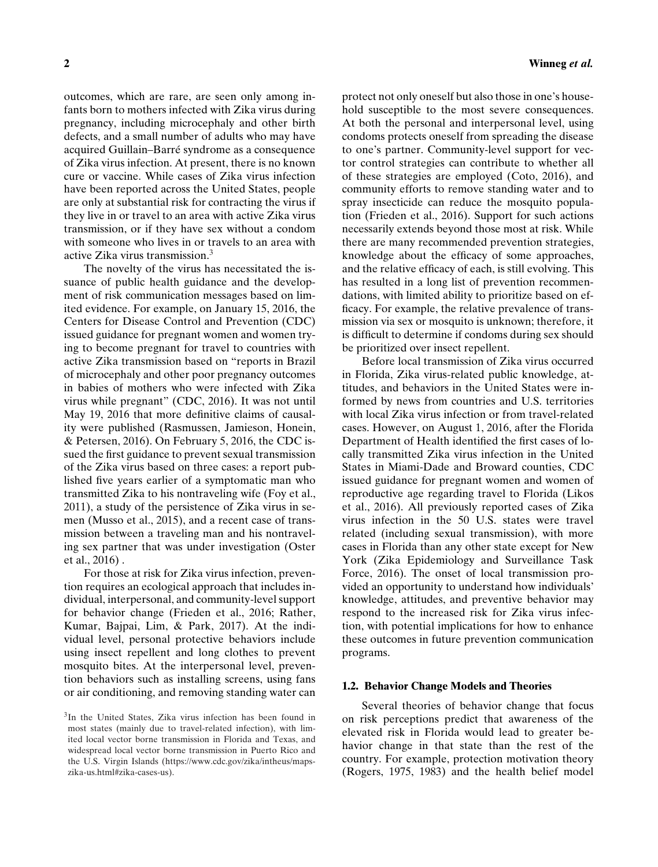outcomes, which are rare, are seen only among infants born to mothers infected with Zika virus during pregnancy, including microcephaly and other birth defects, and a small number of adults who may have acquired Guillain–Barré syndrome as a consequence of Zika virus infection. At present, there is no known cure or vaccine. While cases of Zika virus infection have been reported across the United States, people are only at substantial risk for contracting the virus if they live in or travel to an area with active Zika virus transmission, or if they have sex without a condom with someone who lives in or travels to an area with active Zika virus transmission.<sup>3</sup>

The novelty of the virus has necessitated the issuance of public health guidance and the development of risk communication messages based on limited evidence. For example, on January 15, 2016, the Centers for Disease Control and Prevention (CDC) issued guidance for pregnant women and women trying to become pregnant for travel to countries with active Zika transmission based on "reports in Brazil of microcephaly and other poor pregnancy outcomes in babies of mothers who were infected with Zika virus while pregnant" (CDC, 2016). It was not until May 19, 2016 that more definitive claims of causality were published (Rasmussen, Jamieson, Honein, & Petersen, 2016). On February 5, 2016, the CDC issued the first guidance to prevent sexual transmission of the Zika virus based on three cases: a report published five years earlier of a symptomatic man who transmitted Zika to his nontraveling wife (Foy et al., 2011), a study of the persistence of Zika virus in semen (Musso et al., 2015), and a recent case of transmission between a traveling man and his nontraveling sex partner that was under investigation (Oster et al., 2016) .

For those at risk for Zika virus infection, prevention requires an ecological approach that includes individual, interpersonal, and community-level support for behavior change (Frieden et al., 2016; Rather, Kumar, Bajpai, Lim, & Park, 2017). At the individual level, personal protective behaviors include using insect repellent and long clothes to prevent mosquito bites. At the interpersonal level, prevention behaviors such as installing screens, using fans or air conditioning, and removing standing water can protect not only oneself but also those in one's household susceptible to the most severe consequences. At both the personal and interpersonal level, using condoms protects oneself from spreading the disease to one's partner. Community-level support for vector control strategies can contribute to whether all of these strategies are employed (Coto, 2016), and community efforts to remove standing water and to spray insecticide can reduce the mosquito population (Frieden et al., 2016). Support for such actions necessarily extends beyond those most at risk. While there are many recommended prevention strategies, knowledge about the efficacy of some approaches, and the relative efficacy of each, is still evolving. This has resulted in a long list of prevention recommendations, with limited ability to prioritize based on efficacy. For example, the relative prevalence of transmission via sex or mosquito is unknown; therefore, it is difficult to determine if condoms during sex should be prioritized over insect repellent.

Before local transmission of Zika virus occurred in Florida, Zika virus-related public knowledge, attitudes, and behaviors in the United States were informed by news from countries and U.S. territories with local Zika virus infection or from travel-related cases. However, on August 1, 2016, after the Florida Department of Health identified the first cases of locally transmitted Zika virus infection in the United States in Miami-Dade and Broward counties, CDC issued guidance for pregnant women and women of reproductive age regarding travel to Florida (Likos et al., 2016). All previously reported cases of Zika virus infection in the 50 U.S. states were travel related (including sexual transmission), with more cases in Florida than any other state except for New York (Zika Epidemiology and Surveillance Task Force, 2016). The onset of local transmission provided an opportunity to understand how individuals' knowledge, attitudes, and preventive behavior may respond to the increased risk for Zika virus infection, with potential implications for how to enhance these outcomes in future prevention communication programs.

#### **1.2. Behavior Change Models and Theories**

Several theories of behavior change that focus on risk perceptions predict that awareness of the elevated risk in Florida would lead to greater behavior change in that state than the rest of the country. For example, protection motivation theory (Rogers, 1975, 1983) and the health belief model

<sup>&</sup>lt;sup>3</sup>In the United States, Zika virus infection has been found in most states (mainly due to travel-related infection), with limited local vector borne transmission in Florida and Texas, and widespread local vector borne transmission in Puerto Rico and the U.S. Virgin Islands (https://www.cdc.gov/zika/intheus/mapszika-us.html#zika-cases-us).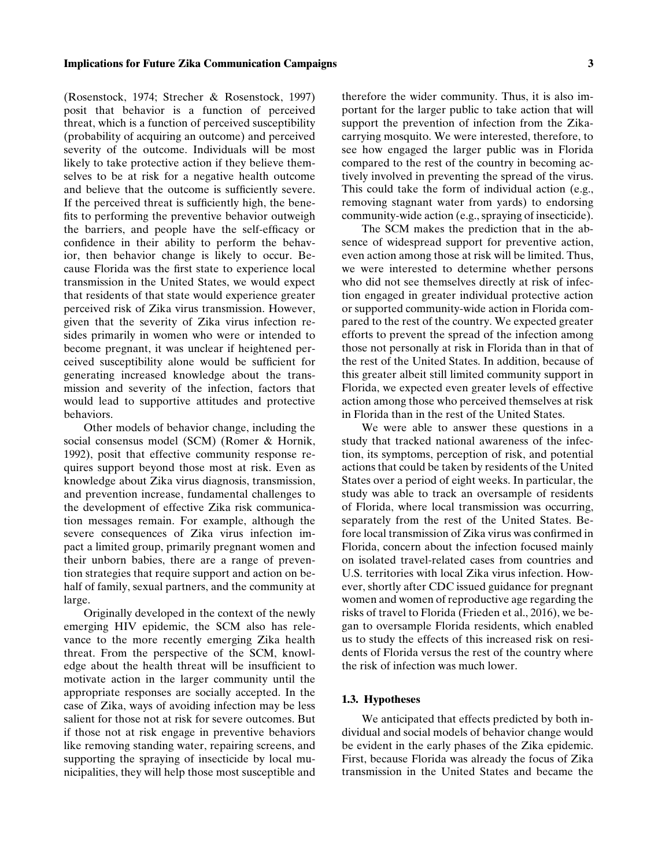# (Rosenstock, 1974; Strecher & Rosenstock, 1997) posit that behavior is a function of perceived threat, which is a function of perceived susceptibility (probability of acquiring an outcome) and perceived severity of the outcome. Individuals will be most likely to take protective action if they believe themselves to be at risk for a negative health outcome and believe that the outcome is sufficiently severe. If the perceived threat is sufficiently high, the benefits to performing the preventive behavior outweigh the barriers, and people have the self-efficacy or confidence in their ability to perform the behavior, then behavior change is likely to occur. Because Florida was the first state to experience local transmission in the United States, we would expect that residents of that state would experience greater perceived risk of Zika virus transmission. However, given that the severity of Zika virus infection resides primarily in women who were or intended to become pregnant, it was unclear if heightened perceived susceptibility alone would be sufficient for generating increased knowledge about the transmission and severity of the infection, factors that

behaviors. Other models of behavior change, including the social consensus model (SCM) (Romer & Hornik, 1992), posit that effective community response requires support beyond those most at risk. Even as knowledge about Zika virus diagnosis, transmission, and prevention increase, fundamental challenges to the development of effective Zika risk communication messages remain. For example, although the severe consequences of Zika virus infection impact a limited group, primarily pregnant women and their unborn babies, there are a range of prevention strategies that require support and action on behalf of family, sexual partners, and the community at large.

would lead to supportive attitudes and protective

Originally developed in the context of the newly emerging HIV epidemic, the SCM also has relevance to the more recently emerging Zika health threat. From the perspective of the SCM, knowledge about the health threat will be insufficient to motivate action in the larger community until the appropriate responses are socially accepted. In the case of Zika, ways of avoiding infection may be less salient for those not at risk for severe outcomes. But if those not at risk engage in preventive behaviors like removing standing water, repairing screens, and supporting the spraying of insecticide by local municipalities, they will help those most susceptible and

therefore the wider community. Thus, it is also important for the larger public to take action that will support the prevention of infection from the Zikacarrying mosquito. We were interested, therefore, to see how engaged the larger public was in Florida compared to the rest of the country in becoming actively involved in preventing the spread of the virus. This could take the form of individual action (e.g., removing stagnant water from yards) to endorsing community-wide action (e.g., spraying of insecticide).

The SCM makes the prediction that in the absence of widespread support for preventive action, even action among those at risk will be limited. Thus, we were interested to determine whether persons who did not see themselves directly at risk of infection engaged in greater individual protective action or supported community-wide action in Florida compared to the rest of the country. We expected greater efforts to prevent the spread of the infection among those not personally at risk in Florida than in that of the rest of the United States. In addition, because of this greater albeit still limited community support in Florida, we expected even greater levels of effective action among those who perceived themselves at risk in Florida than in the rest of the United States.

We were able to answer these questions in a study that tracked national awareness of the infection, its symptoms, perception of risk, and potential actions that could be taken by residents of the United States over a period of eight weeks. In particular, the study was able to track an oversample of residents of Florida, where local transmission was occurring, separately from the rest of the United States. Before local transmission of Zika virus was confirmed in Florida, concern about the infection focused mainly on isolated travel-related cases from countries and U.S. territories with local Zika virus infection. However, shortly after CDC issued guidance for pregnant women and women of reproductive age regarding the risks of travel to Florida (Frieden et al., 2016), we began to oversample Florida residents, which enabled us to study the effects of this increased risk on residents of Florida versus the rest of the country where the risk of infection was much lower.

## **1.3. Hypotheses**

We anticipated that effects predicted by both individual and social models of behavior change would be evident in the early phases of the Zika epidemic. First, because Florida was already the focus of Zika transmission in the United States and became the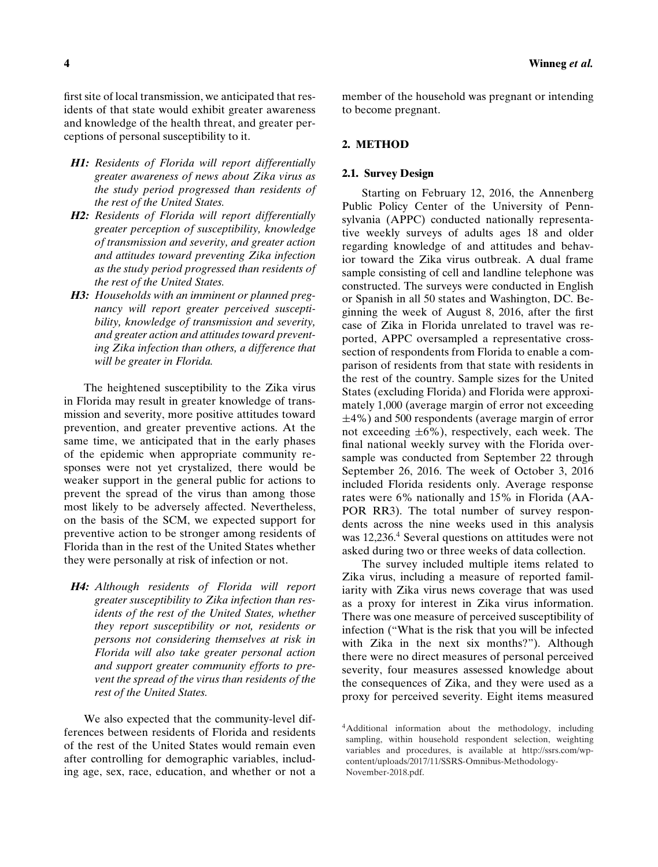first site of local transmission, we anticipated that residents of that state would exhibit greater awareness and knowledge of the health threat, and greater perceptions of personal susceptibility to it.

- *H1: Residents of Florida will report differentially greater awareness of news about Zika virus as the study period progressed than residents of the rest of the United States.*
- *H2: Residents of Florida will report differentially greater perception of susceptibility, knowledge of transmission and severity, and greater action and attitudes toward preventing Zika infection as the study period progressed than residents of the rest of the United States.*
- *H3: Households with an imminent or planned pregnancy will report greater perceived susceptibility, knowledge of transmission and severity, and greater action and attitudes toward preventing Zika infection than others, a difference that will be greater in Florida.*

The heightened susceptibility to the Zika virus in Florida may result in greater knowledge of transmission and severity, more positive attitudes toward prevention, and greater preventive actions. At the same time, we anticipated that in the early phases of the epidemic when appropriate community responses were not yet crystalized, there would be weaker support in the general public for actions to prevent the spread of the virus than among those most likely to be adversely affected. Nevertheless, on the basis of the SCM, we expected support for preventive action to be stronger among residents of Florida than in the rest of the United States whether they were personally at risk of infection or not.

*H4: Although residents of Florida will report greater susceptibility to Zika infection than residents of the rest of the United States, whether they report susceptibility or not, residents or persons not considering themselves at risk in Florida will also take greater personal action and support greater community efforts to prevent the spread of the virus than residents of the rest of the United States.*

We also expected that the community-level differences between residents of Florida and residents of the rest of the United States would remain even after controlling for demographic variables, including age, sex, race, education, and whether or not a

member of the household was pregnant or intending to become pregnant.

# **2. METHOD**

#### **2.1. Survey Design**

Starting on February 12, 2016, the Annenberg Public Policy Center of the University of Pennsylvania (APPC) conducted nationally representative weekly surveys of adults ages 18 and older regarding knowledge of and attitudes and behavior toward the Zika virus outbreak. A dual frame sample consisting of cell and landline telephone was constructed. The surveys were conducted in English or Spanish in all 50 states and Washington, DC. Beginning the week of August 8, 2016, after the first case of Zika in Florida unrelated to travel was reported, APPC oversampled a representative crosssection of respondents from Florida to enable a comparison of residents from that state with residents in the rest of the country. Sample sizes for the United States (excluding Florida) and Florida were approximately 1,000 (average margin of error not exceeding  $\pm$ 4%) and 500 respondents (average margin of error not exceeding  $\pm 6\%$ ), respectively, each week. The final national weekly survey with the Florida oversample was conducted from September 22 through September 26, 2016. The week of October 3, 2016 included Florida residents only. Average response rates were 6% nationally and 15% in Florida (AA-POR RR3). The total number of survey respondents across the nine weeks used in this analysis was 12,236.<sup>4</sup> Several questions on attitudes were not asked during two or three weeks of data collection.

The survey included multiple items related to Zika virus, including a measure of reported familiarity with Zika virus news coverage that was used as a proxy for interest in Zika virus information. There was one measure of perceived susceptibility of infection ("What is the risk that you will be infected with Zika in the next six months?"). Although there were no direct measures of personal perceived severity, four measures assessed knowledge about the consequences of Zika, and they were used as a proxy for perceived severity. Eight items measured

<sup>4</sup>Additional information about the methodology, including sampling, within household respondent selection, weighting variables and procedures, is available at http://ssrs.com/wpcontent/uploads/2017/11/SSRS-Omnibus-Methodology-November-2018.pdf.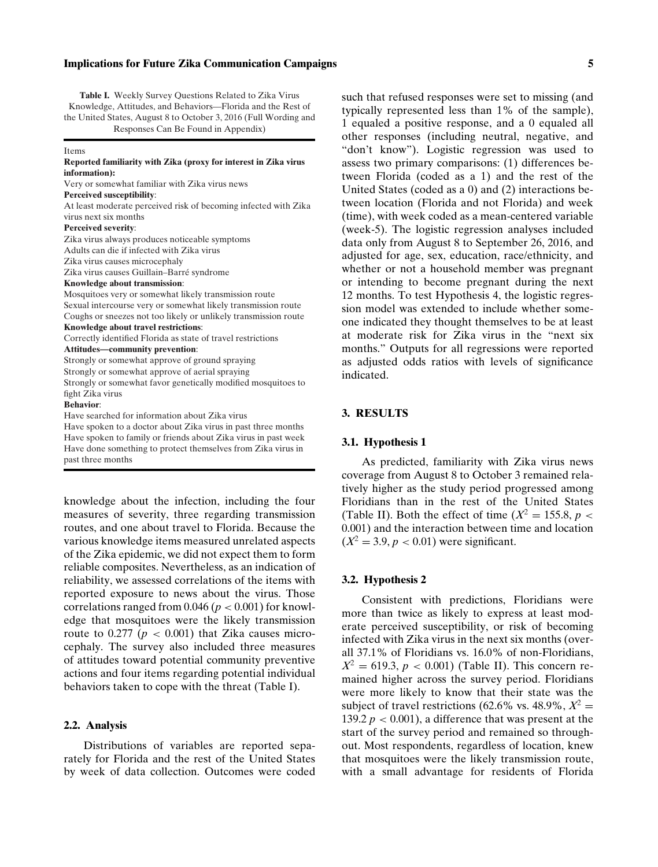#### **Implications for Future Zika Communication Campaigns 5**

**Table I.** Weekly Survey Questions Related to Zika Virus Knowledge, Attitudes, and Behaviors—Florida and the Rest of the United States, August 8 to October 3, 2016 (Full Wording and Responses Can Be Found in Appendix)

Items

#### **Reported familiarity with Zika (proxy for interest in Zika virus information):** Very or somewhat familiar with Zika virus news **Perceived susceptibility**: At least moderate perceived risk of becoming infected with Zika virus next six months **Perceived severity**: Zika virus always produces noticeable symptoms Adults can die if infected with Zika virus Zika virus causes microcephaly Zika virus causes Guillain–Barré syndrome **Knowledge about transmission**: Mosquitoes very or somewhat likely transmission route Sexual intercourse very or somewhat likely transmission route Coughs or sneezes not too likely or unlikely transmission route **Knowledge about travel restrictions**: Correctly identified Florida as state of travel restrictions **Attitudes—community prevention**: Strongly or somewhat approve of ground spraying Strongly or somewhat approve of aerial spraying Strongly or somewhat favor genetically modified mosquitoes to fight Zika virus **Behavior**: Have searched for information about Zika virus Have spoken to a doctor about Zika virus in past three months Have spoken to family or friends about Zika virus in past week Have done something to protect themselves from Zika virus in past three months

knowledge about the infection, including the four measures of severity, three regarding transmission routes, and one about travel to Florida. Because the various knowledge items measured unrelated aspects of the Zika epidemic, we did not expect them to form reliable composites. Nevertheless, as an indication of reliability, we assessed correlations of the items with reported exposure to news about the virus. Those correlations ranged from  $0.046 (p < 0.001)$  for knowledge that mosquitoes were the likely transmission route to  $0.277$  ( $p < 0.001$ ) that Zika causes microcephaly. The survey also included three measures of attitudes toward potential community preventive actions and four items regarding potential individual behaviors taken to cope with the threat (Table I).

### **2.2. Analysis**

Distributions of variables are reported separately for Florida and the rest of the United States by week of data collection. Outcomes were coded such that refused responses were set to missing (and typically represented less than 1% of the sample), 1 equaled a positive response, and a 0 equaled all other responses (including neutral, negative, and "don't know"). Logistic regression was used to assess two primary comparisons: (1) differences between Florida (coded as a 1) and the rest of the United States (coded as a 0) and (2) interactions between location (Florida and not Florida) and week (time), with week coded as a mean-centered variable (week-5). The logistic regression analyses included data only from August 8 to September 26, 2016, and adjusted for age, sex, education, race/ethnicity, and whether or not a household member was pregnant or intending to become pregnant during the next 12 months. To test Hypothesis 4, the logistic regression model was extended to include whether someone indicated they thought themselves to be at least at moderate risk for Zika virus in the "next six months." Outputs for all regressions were reported as adjusted odds ratios with levels of significance indicated.

#### **3. RESULTS**

#### **3.1. Hypothesis 1**

As predicted, familiarity with Zika virus news coverage from August 8 to October 3 remained relatively higher as the study period progressed among Floridians than in the rest of the United States (Table II). Both the effect of time ( $X^2 = 155.8$ ,  $p <$ 0.001) and the interaction between time and location  $(X^2 = 3.9, p < 0.01)$  were significant.

#### **3.2. Hypothesis 2**

Consistent with predictions, Floridians were more than twice as likely to express at least moderate perceived susceptibility, or risk of becoming infected with Zika virus in the next six months (overall 37.1% of Floridians vs. 16.0% of non-Floridians,  $X^2 = 619.3, p < 0.001$ ) (Table II). This concern remained higher across the survey period. Floridians were more likely to know that their state was the subject of travel restrictions (62.6% vs. 48.9%,  $X^2$  = 139.2  $p < 0.001$ ), a difference that was present at the start of the survey period and remained so throughout. Most respondents, regardless of location, knew that mosquitoes were the likely transmission route, with a small advantage for residents of Florida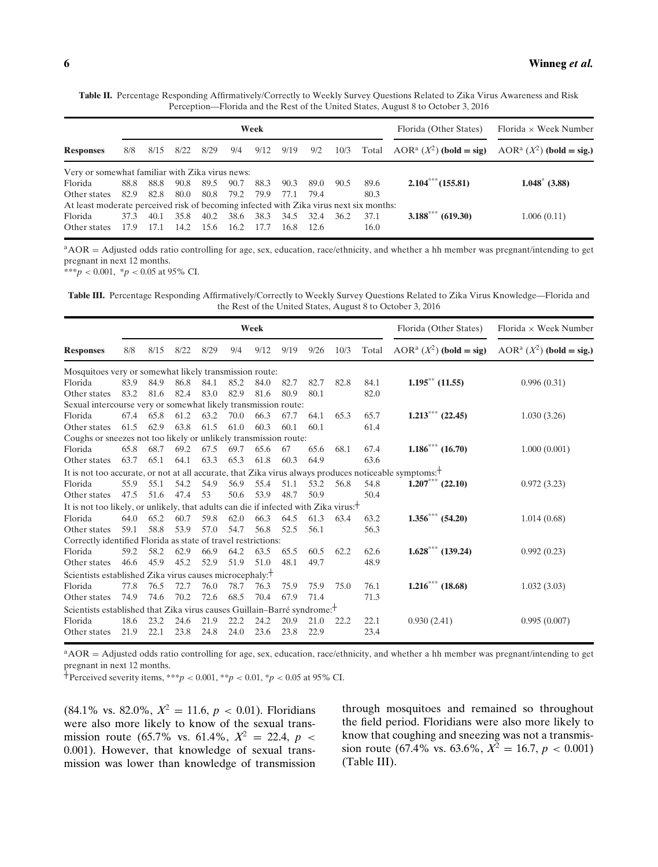**Table II.** Percentage Responding Affirmatively/Correctly to Weekly Survey Questions Related to Zika Virus Awareness and Risk Perception—Florida and the Rest of the United States, August 8 to October 3, 2016

|                                                                                        |      |                |      |           |      | Week |           | Florida (Other States) | Florida $\times$ Week Number |      |                                                                 |                  |
|----------------------------------------------------------------------------------------|------|----------------|------|-----------|------|------|-----------|------------------------|------------------------------|------|-----------------------------------------------------------------|------------------|
| <b>Responses</b>                                                                       | 8/8  | 8/15           | 8/22 | 8/29      | 9/4  |      | 9/12 9/19 | 9/2                    |                              |      | 10/3 Total $AOR^a(X^2)$ (bold = sig) $AOR^a(X^2)$ (bold = sig.) |                  |
| Very or somewhat familiar with Zika virus news:                                        |      |                |      |           |      |      |           |                        |                              |      |                                                                 |                  |
| Florida                                                                                |      | 88.8 88.8 90.8 |      | 89.5      | 90.7 | 88.3 | 90.3      | 89.0                   | 90.5                         | 89.6 | $2.104***$ (155.81)                                             | $1.048^*$ (3.88) |
| Other states                                                                           | 82.9 | 82.8           | 80.0 | 80.8      | 79.2 | 79.9 | 77.1      | 79.4                   |                              | 80.3 |                                                                 |                  |
| At least moderate perceived risk of becoming infected with Zika virus next six months: |      |                |      |           |      |      |           |                        |                              |      |                                                                 |                  |
| Florida                                                                                | 37.3 | 40.1           | 35.8 | 40.2      | 38.6 | 38.3 | 34.5      | 32.4                   | 36.2                         | 37.1 | $3.188***(619.30)$                                              | 1.006(0.11)      |
| Other states                                                                           | 17.9 | -17.1          |      | 14.2 15.6 | 16.2 | 17.7 | 16.8      | 12.6                   |                              | 16.0 |                                                                 |                  |

<sup>a</sup> AOR = Adjusted odds ratio controlling for age, sex, education, race/ethnicity, and whether a hh member was pregnant/intending to get pregnant in next 12 months.

\*\*\**p <* 0.001, \**p <* 0.05 at 95% CI.

Table III. Percentage Responding Affirmatively/Correctly to Weekly Survey Questions Related to Zika Virus Knowledge—Florida and the Rest of the United States, August 8 to October 3, 2016

|                                                                                                  |      |      |      |      |      | Week |      | Florida (Other States) | Florida $\times$ Week Number |       |                                                                                                                   |                           |
|--------------------------------------------------------------------------------------------------|------|------|------|------|------|------|------|------------------------|------------------------------|-------|-------------------------------------------------------------------------------------------------------------------|---------------------------|
| <b>Responses</b>                                                                                 | 8/8  | 8/15 | 8/22 | 8/29 | 9/4  | 9/12 | 9/19 | 9/26                   | 10/3                         | Total | $AORa (X2)$ (bold = sig)                                                                                          | $AORa (X2)$ (bold = sig.) |
| Mosquitoes very or somewhat likely transmission route:                                           |      |      |      |      |      |      |      |                        |                              |       |                                                                                                                   |                           |
| Florida                                                                                          | 83.9 | 84.9 | 86.8 | 84.1 | 85.2 | 84.0 | 82.7 | 82.7                   | 82.8                         | 84.1  | $1.195***$ (11.55)                                                                                                | 0.996(0.31)               |
| Other states                                                                                     | 83.2 | 81.6 | 82.4 | 83.0 | 82.9 | 81.6 | 80.9 | 80.1                   |                              | 82.0  |                                                                                                                   |                           |
| Sexual intercourse very or somewhat likely transmission route:                                   |      |      |      |      |      |      |      |                        |                              |       |                                                                                                                   |                           |
| Florida                                                                                          | 67.4 | 65.8 | 61.2 | 63.2 | 70.0 | 66.3 | 67.7 | 64.1                   | 65.3                         | 65.7  | $1.213***(22.45)$                                                                                                 | 1.030(3.26)               |
| Other states                                                                                     | 61.5 | 62.9 | 63.8 | 61.5 | 61.0 | 60.3 | 60.1 | 60.1                   |                              | 61.4  |                                                                                                                   |                           |
| Coughs or sneezes not too likely or unlikely transmission route:                                 |      |      |      |      |      |      |      |                        |                              |       |                                                                                                                   |                           |
| Florida                                                                                          | 65.8 | 68.7 | 69.2 | 67.5 | 69.7 | 65.6 | 67   | 65.6                   | 68.1                         | 67.4  | $1.186$ (16.70)                                                                                                   | 1.000(0.001)              |
| Other states                                                                                     | 63.7 | 65.1 | 64.1 | 63.3 | 65.3 | 61.8 | 60.3 | 64.9                   |                              | 63.6  |                                                                                                                   |                           |
|                                                                                                  |      |      |      |      |      |      |      |                        |                              |       | It is not too accurate, or not at all accurate, that Zika virus always produces noticeable symptoms: <sup>†</sup> |                           |
| Florida                                                                                          | 55.9 | 55.1 | 54.2 | 54.9 | 56.9 | 55.4 | 51.1 | 53.2                   | 56.8                         | 54.8  | $1.207***$ (22.10)                                                                                                | 0.972(3.23)               |
| Other states                                                                                     | 47.5 | 51.6 | 47.4 | 53   | 50.6 | 53.9 | 48.7 | 50.9                   |                              | 50.4  |                                                                                                                   |                           |
| It is not too likely, or unlikely, that adults can die if infected with Zika virus: <sup>†</sup> |      |      |      |      |      |      |      |                        |                              |       |                                                                                                                   |                           |
| Florida                                                                                          | 64.0 | 65.2 | 60.7 | 59.8 | 62.0 | 66.3 | 64.5 | 61.3                   | 63.4                         | 63.2  | $1.356***$ (54.20)                                                                                                | 1.014(0.68)               |
| Other states                                                                                     | 59.1 | 58.8 | 53.9 | 57.0 | 54.7 | 56.8 | 52.5 | 56.1                   |                              | 56.3  |                                                                                                                   |                           |
| Correctly identified Florida as state of travel restrictions:                                    |      |      |      |      |      |      |      |                        |                              |       |                                                                                                                   |                           |
| Florida                                                                                          | 59.2 | 58.2 | 62.9 | 66.9 | 64.2 | 63.5 | 65.5 | 60.5                   | 62.2                         | 62.6  | $1.628***$ (139.24)                                                                                               | 0.992(0.23)               |
| Other states                                                                                     | 46.6 | 45.9 | 45.2 | 52.9 | 51.9 | 51.0 | 48.1 | 49.7                   |                              | 48.9  |                                                                                                                   |                           |
| Scientists established Zika virus causes microcephaly: <sup>+</sup>                              |      |      |      |      |      |      |      |                        |                              |       |                                                                                                                   |                           |
| Florida                                                                                          | 77.8 | 76.5 | 72.7 | 76.0 | 78.7 | 76.3 | 75.9 | 75.9                   | 75.0                         | 76.1  | $1.216***$ (18.68)                                                                                                | 1.032(3.03)               |
| Other states                                                                                     | 74.9 | 74.6 | 70.2 | 72.6 | 68.5 | 70.4 | 67.9 | 71.4                   |                              | 71.3  |                                                                                                                   |                           |
| Scientists established that Zika virus causes Guillain–Barré syndrome: <sup>†</sup>              |      |      |      |      |      |      |      |                        |                              |       |                                                                                                                   |                           |
| Florida                                                                                          | 18.6 | 23.2 | 24.6 | 21.9 | 22.2 | 24.2 | 20.9 | 21.0                   | 22.2                         | 22.1  | 0.930(2.41)                                                                                                       | 0.995(0.007)              |
| Other states                                                                                     | 21.9 | 22.1 | 23.8 | 24.8 | 24.0 | 23.6 | 23.8 | 22.9                   |                              | 23.4  |                                                                                                                   |                           |

 $AOR =$  Adjusted odds ratio controlling for age, sex, education, race/ethnicity, and whether a hh member was pregnant/intending to get pregnant in next 12 months.

† Perceived severity items, \*\*\*  $p < 0.001$ , \*\*  $p < 0.01$ , \* $p < 0.05$  at 95% CI.

 $(84.1\% \text{ vs. } 82.0\%, X^2 = 11.6, p < 0.01)$ . Floridians were also more likely to know of the sexual transmission route (65.7% vs. 61.4%,  $X^2 = 22.4$ ,  $p <$ 0.001). However, that knowledge of sexual transmission was lower than knowledge of transmission

through mosquitoes and remained so throughout the field period. Floridians were also more likely to know that coughing and sneezing was not a transmission route (67.4% vs. 63.6%,  $\overline{X^2}$  = 16.7, *p* < 0.001) (Table III).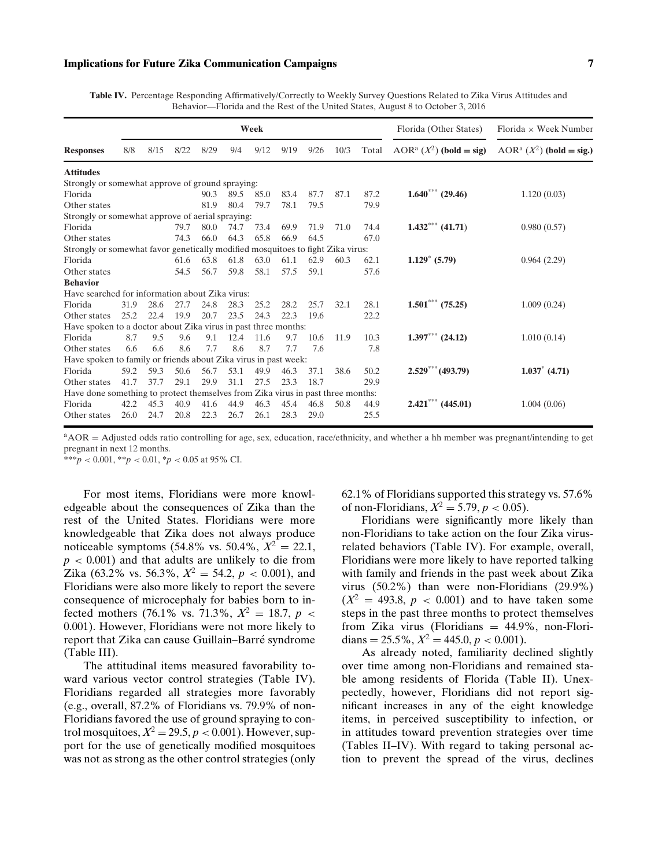#### **Implications for Future Zika Communication Campaigns 7**

|                                                                                 |      |      |      |      |      | Week |      |      |      |       | Florida (Other States)   | Florida $\times$ Week Number |
|---------------------------------------------------------------------------------|------|------|------|------|------|------|------|------|------|-------|--------------------------|------------------------------|
| <b>Responses</b>                                                                | 8/8  | 8/15 | 8/22 | 8/29 | 9/4  | 9/12 | 9/19 | 9/26 | 10/3 | Total | $AORa (X2)$ (bold = sig) | $AORa (X2)$ (bold = sig.)    |
| <b>Attitudes</b>                                                                |      |      |      |      |      |      |      |      |      |       |                          |                              |
| Strongly or somewhat approve of ground spraying:                                |      |      |      |      |      |      |      |      |      |       |                          |                              |
| Florida                                                                         |      |      |      | 90.3 | 89.5 | 85.0 | 83.4 | 87.7 | 87.1 | 87.2  | $1.640^{***}$ (29.46)    | 1.120(0.03)                  |
| Other states                                                                    |      |      |      | 81.9 | 80.4 | 79.7 | 78.1 | 79.5 |      | 79.9  |                          |                              |
| Strongly or somewhat approve of aerial spraying:                                |      |      |      |      |      |      |      |      |      |       |                          |                              |
| Florida                                                                         |      |      | 79.7 | 80.0 | 74.7 | 73.4 | 69.9 | 71.9 | 71.0 | 74.4  | $1.432***$ (41.71)       | 0.980(0.57)                  |
| Other states                                                                    |      |      | 74.3 | 66.0 | 64.3 | 65.8 | 66.9 | 64.5 |      | 67.0  |                          |                              |
| Strongly or somewhat favor genetically modified mosquitoes to fight Zika virus: |      |      |      |      |      |      |      |      |      |       |                          |                              |
| Florida                                                                         |      |      | 61.6 | 63.8 | 61.8 | 63.0 | 61.1 | 62.9 | 60.3 | 62.1  | $1.129^*$ (5.79)         | 0.964(2.29)                  |
| Other states                                                                    |      |      | 54.5 | 56.7 | 59.8 | 58.1 | 57.5 | 59.1 |      | 57.6  |                          |                              |
| <b>Behavior</b>                                                                 |      |      |      |      |      |      |      |      |      |       |                          |                              |
| Have searched for information about Zika virus:                                 |      |      |      |      |      |      |      |      |      |       |                          |                              |
| Florida                                                                         | 31.9 | 28.6 | 27.7 | 24.8 | 28.3 | 25.2 | 28.2 | 25.7 | 32.1 | 28.1  | $1.501***$ (75.25)       | 1.009(0.24)                  |
| Other states                                                                    | 25.2 | 22.4 | 19.9 | 20.7 | 23.5 | 24.3 | 22.3 | 19.6 |      | 22.2  |                          |                              |
| Have spoken to a doctor about Zika virus in past three months:                  |      |      |      |      |      |      |      |      |      |       |                          |                              |
| Florida                                                                         | 8.7  | 9.5  | 9.6  | 9.1  | 12.4 | 11.6 | 9.7  | 10.6 | 11.9 | 10.3  | $1.397***$ (24.12)       | 1.010(0.14)                  |
| Other states                                                                    | 6.6  | 6.6  | 8.6  | 7.7  | 8.6  | 8.7  | 7.7  | 7.6  |      | 7.8   |                          |                              |
| Have spoken to family or friends about Zika virus in past week:                 |      |      |      |      |      |      |      |      |      |       |                          |                              |
| Florida                                                                         | 59.2 | 59.3 | 50.6 | 56.7 | 53.1 | 49.9 | 46.3 | 37.1 | 38.6 | 50.2  | $2.529***$ (493.79)      | $1.037^*$ (4.71)             |
| Other states                                                                    | 41.7 | 37.7 | 29.1 | 29.9 | 31.1 | 27.5 | 23.3 | 18.7 |      | 29.9  |                          |                              |
| Have done something to protect themselves from Zika virus in past three months: |      |      |      |      |      |      |      |      |      |       |                          |                              |
| Florida                                                                         | 42.2 | 45.3 | 40.9 | 41.6 | 44.9 | 46.3 | 45.4 | 46.8 | 50.8 | 44.9  | $2.421***$ (445.01)      | 1.004(0.06)                  |
| Other states                                                                    | 26.0 | 24.7 | 20.8 | 22.3 | 26.7 | 26.1 | 28.3 | 29.0 |      | 25.5  |                          |                              |

**Table IV.** Percentage Responding Affirmatively/Correctly to Weekly Survey Questions Related to Zika Virus Attitudes and Behavior—Florida and the Rest of the United States, August 8 to October 3, 2016

 $A=AA$  a AOR = Adjusted odds ratio controlling for age, sex, education, race/ethnicity, and whether a hh member was pregnant/intending to get pregnant in next 12 months.

\*\*\**p* < 0.001, \*\**p* < 0.01, \**p* < 0.05 at 95% CI.

For most items, Floridians were more knowledgeable about the consequences of Zika than the rest of the United States. Floridians were more knowledgeable that Zika does not always produce noticeable symptoms (54.8% vs. 50.4%,  $X^2 = 22.1$ ,  $p < 0.001$ ) and that adults are unlikely to die from Zika (63.2% vs. 56.3%,  $X^2 = 54.2$ ,  $p < 0.001$ ), and Floridians were also more likely to report the severe consequence of microcephaly for babies born to infected mothers (76.1% vs. 71.3%,  $X^2 = 18.7$ ,  $p <$ 0.001). However, Floridians were not more likely to report that Zika can cause Guillain–Barré syndrome (Table III).

The attitudinal items measured favorability toward various vector control strategies (Table IV). Floridians regarded all strategies more favorably (e.g., overall, 87.2% of Floridians vs. 79.9% of non-Floridians favored the use of ground spraying to control mosquitoes,  $X^2 = 29.5$ ,  $p < 0.001$ ). However, support for the use of genetically modified mosquitoes was not as strong as the other control strategies (only 62.1% of Floridians supported this strategy vs. 57.6% of non-Floridians,  $X^2 = 5.79, p < 0.05$ ).

Floridians were significantly more likely than non-Floridians to take action on the four Zika virusrelated behaviors (Table IV). For example, overall, Floridians were more likely to have reported talking with family and friends in the past week about Zika virus (50.2%) than were non-Floridians (29.9%)  $(X^2 = 493.8, p < 0.001)$  and to have taken some steps in the past three months to protect themselves from Zika virus (Floridians = 44.9%, non-Floridians =  $25.5\%, X^2 = 445.0, p < 0.001$ .

As already noted, familiarity declined slightly over time among non-Floridians and remained stable among residents of Florida (Table II). Unexpectedly, however, Floridians did not report significant increases in any of the eight knowledge items, in perceived susceptibility to infection, or in attitudes toward prevention strategies over time (Tables II–IV). With regard to taking personal action to prevent the spread of the virus, declines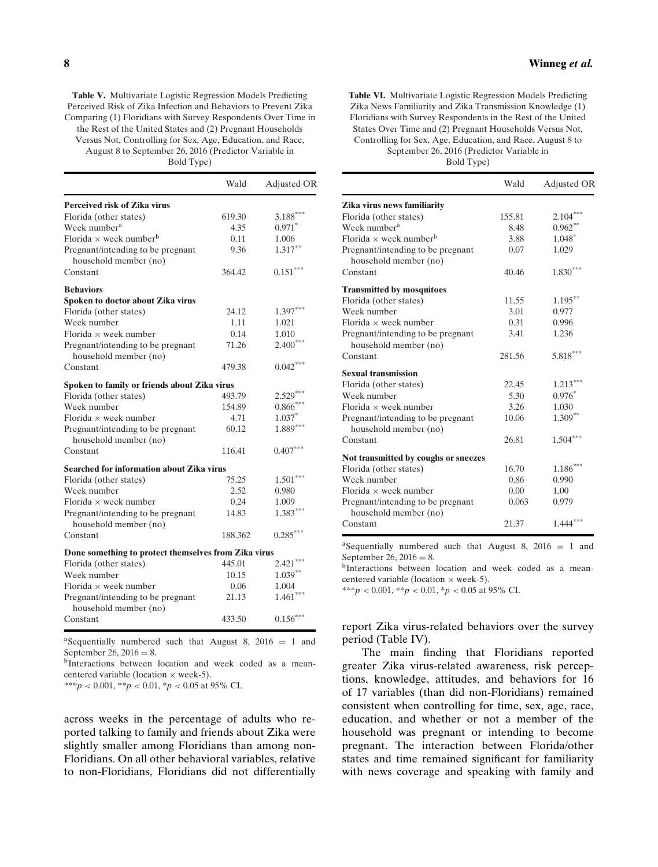**Table V.** Multivariate Logistic Regression Models Predicting Perceived Risk of Zika Infection and Behaviors to Prevent Zika Comparing (1) Floridians with Survey Respondents Over Time in the Rest of the United States and (2) Pregnant Households Versus Not, Controlling for Sex, Age, Education, and Race, August 8 to September 26, 2016 (Predictor Variable in Bold Type)

|                                                            | Wald    | Adjusted OR |
|------------------------------------------------------------|---------|-------------|
| <b>Perceived risk of Zika virus</b>                        |         |             |
| Florida (other states)                                     | 619.30  | $3.188***$  |
| Week number <sup>a</sup>                                   | 4.35    | $0.971$ *   |
| Florida $\times$ week number <sup>b</sup>                  | 0.11    | 1.006       |
| Pregnant/intending to be pregnant<br>household member (no) | 9.36    | $1.317**$   |
| Constant                                                   | 364.42  | $0.151***$  |
| <b>Behaviors</b>                                           |         |             |
| Spoken to doctor about Zika virus                          |         |             |
| Florida (other states)                                     | 24.12   | $1.397***$  |
| Week number                                                | 1.11    | 1.021       |
| Florida $\times$ week number                               | 0.14    | 1.010       |
| Pregnant/intending to be pregnant<br>household member (no) | 71.26   | $2.400***$  |
| Constant                                                   | 479.38  | $0.042***$  |
| Spoken to family or friends about Zika virus               |         |             |
| Florida (other states)                                     | 493.79  | $2.529***$  |
| Week number                                                | 154.89  | $0.866***$  |
| Florida $\times$ week number                               | 4.71    | $1.037*$    |
| Pregnant/intending to be pregnant<br>household member (no) | 60.12   | $1.889***$  |
| Constant                                                   | 116.41  | $0.407***$  |
| <b>Searched for information about Zika virus</b>           |         |             |
| Florida (other states)                                     | 75.25   | $1.501***$  |
| Week number                                                | 2.52    | 0.980       |
| Florida $\times$ week number                               | 0.24    | 1.009       |
| Pregnant/intending to be pregnant<br>household member (no) | 14.83   | $1.383***$  |
| Constant                                                   | 188.362 | $0.285***$  |
| Done something to protect themselves from Zika virus       |         |             |
| Florida (other states)                                     | 445.01  | $2.421***$  |
| Week number                                                | 10.15   | $1.039***$  |
| Florida $\times$ week number                               | 0.06    | 1.004       |
| Pregnant/intending to be pregnant<br>household member (no) | 21.13   | $1.461***$  |
| Constant                                                   | 433.50  | $0.156***$  |

<sup>a</sup>Sequentially numbered such that August 8, 2016 = 1 and September 26, 2016 = 8.

<sup>b</sup>Interactions between location and week coded as a meancentered variable (location  $\times$  week-5).

\*\*\**p* < 0.001, \*\**p* < 0.01, \**p* < 0.05 at 95% CI.

across weeks in the percentage of adults who reported talking to family and friends about Zika were slightly smaller among Floridians than among non-Floridians. On all other behavioral variables, relative to non-Floridians, Floridians did not differentially **Table VI.** Multivariate Logistic Regression Models Predicting Zika News Familiarity and Zika Transmission Knowledge (1) Floridians with Survey Respondents in the Rest of the United States Over Time and (2) Pregnant Households Versus Not, Controlling for Sex, Age, Education, and Race, August 8 to September 26, 2016 (Predictor Variable in Bold Type)

|                                                            | Wald   | Adjusted OR |
|------------------------------------------------------------|--------|-------------|
| Zika virus news familiarity                                |        |             |
| Florida (other states)                                     | 155.81 | $2.104***$  |
| Week number <sup>a</sup>                                   | 8.48   | $0.962**$   |
| Florida $\times$ week number <sup>b</sup>                  | 3.88   | $1.048*$    |
| Pregnant/intending to be pregnant<br>household member (no) | 0.07   | 1.029       |
| Constant                                                   | 40.46  | $1.830***$  |
| <b>Transmitted by mosquitoes</b>                           |        |             |
| Florida (other states)                                     | 11.55  | $1.195***$  |
| Week number                                                | 3.01   | 0.977       |
| Florida $\times$ week number                               | 0.31   | 0.996       |
| Pregnant/intending to be pregnant<br>household member (no) | 3.41   | 1.236       |
| Constant                                                   | 281.56 | $5.818***$  |
| <b>Sexual transmission</b>                                 |        |             |
| Florida (other states)                                     | 22.45  | $1.213***$  |
| Week number                                                | 5.30   | $0.976*$    |
| Florida $\times$ week number                               | 3.26   | 1.030       |
| Pregnant/intending to be pregnant<br>household member (no) | 10.06  | $1.309**$   |
| Constant                                                   | 26.81  | $1.504***$  |
| Not transmitted by coughs or sneezes                       |        |             |
| Florida (other states)                                     | 16.70  | $1.186***$  |
| Week number                                                | 0.86   | 0.990       |
| Florida $\times$ week number                               | 0.00   | 1.00        |
| Pregnant/intending to be pregnant<br>household member (no) | 0.063  | 0.979       |
| Constant                                                   | 21.37  | $1.444***$  |

<sup>a</sup>Sequentially numbered such that August 8, 2016 = 1 and September 26, 2016 = 8.

<sup>b</sup>Interactions between location and week coded as a meancentered variable (location  $\times$  week-5).

\*\*\**p <* 0.001, \*\**p <* 0.01, \**p <* 0.05 at 95% CI.

report Zika virus-related behaviors over the survey period (Table IV).

The main finding that Floridians reported greater Zika virus-related awareness, risk perceptions, knowledge, attitudes, and behaviors for 16 of 17 variables (than did non-Floridians) remained consistent when controlling for time, sex, age, race, education, and whether or not a member of the household was pregnant or intending to become pregnant. The interaction between Florida/other states and time remained significant for familiarity with news coverage and speaking with family and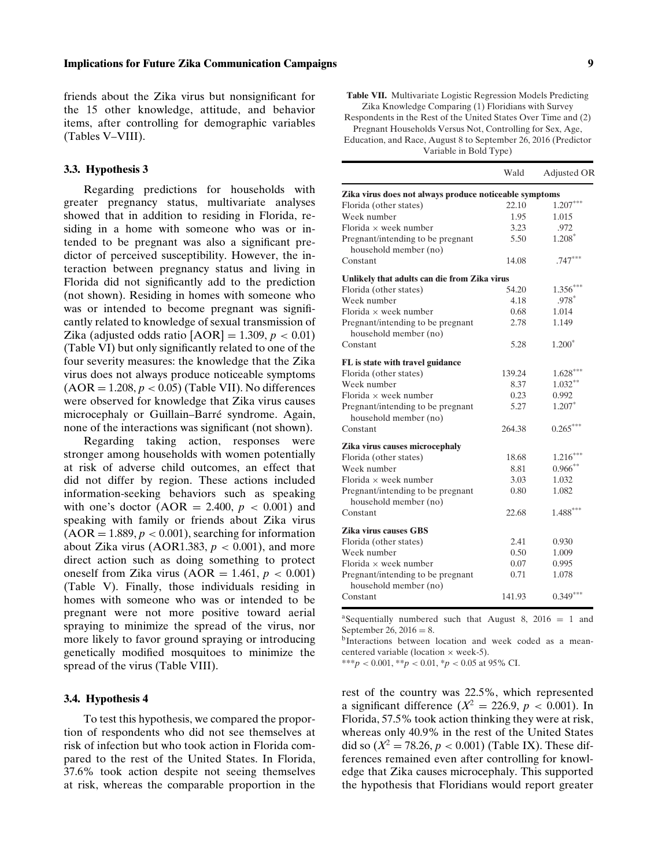friends about the Zika virus but nonsignificant for the 15 other knowledge, attitude, and behavior items, after controlling for demographic variables (Tables V–VIII).

#### **3.3. Hypothesis 3**

Regarding predictions for households with greater pregnancy status, multivariate analyses showed that in addition to residing in Florida, residing in a home with someone who was or intended to be pregnant was also a significant predictor of perceived susceptibility. However, the interaction between pregnancy status and living in Florida did not significantly add to the prediction (not shown). Residing in homes with someone who was or intended to become pregnant was significantly related to knowledge of sexual transmission of Zika (adjusted odds ratio  $[AOR] = 1.309$ ,  $p < 0.01$ ) (Table VI) but only significantly related to one of the four severity measures: the knowledge that the Zika virus does not always produce noticeable symptoms  $(AOR = 1.208, p < 0.05)$  (Table VII). No differences were observed for knowledge that Zika virus causes microcephaly or Guillain–Barré syndrome. Again, none of the interactions was significant (not shown).

Regarding taking action, responses were stronger among households with women potentially at risk of adverse child outcomes, an effect that did not differ by region. These actions included information-seeking behaviors such as speaking with one's doctor  $(AOR = 2.400, p < 0.001)$  and speaking with family or friends about Zika virus  $(AOR = 1.889, p < 0.001)$ , searching for information about Zika virus (AOR1.383,  $p < 0.001$ ), and more direct action such as doing something to protect oneself from Zika virus  $(AOR = 1.461, p < 0.001)$ (Table V). Finally, those individuals residing in homes with someone who was or intended to be pregnant were not more positive toward aerial spraying to minimize the spread of the virus, nor more likely to favor ground spraying or introducing genetically modified mosquitoes to minimize the spread of the virus (Table VIII).

#### **3.4. Hypothesis 4**

To test this hypothesis, we compared the proportion of respondents who did not see themselves at risk of infection but who took action in Florida compared to the rest of the United States. In Florida, 37.6% took action despite not seeing themselves at risk, whereas the comparable proportion in the Education, and Race, August 8 to September 26, 2016 (Predictor Variable in Bold Type)

|                                                            | Wald   | Adjusted OR |
|------------------------------------------------------------|--------|-------------|
| Zika virus does not always produce noticeable symptoms     |        |             |
| Florida (other states)                                     | 22.10  | $1.207***$  |
| Week number                                                | 1.95   | 1.015       |
| Florida $\times$ week number                               | 3.23   | .972        |
| Pregnant/intending to be pregnant<br>household member (no) | 5.50   | $1.208*$    |
| Constant                                                   | 14.08  | $.747***$   |
| Unlikely that adults can die from Zika virus               |        |             |
| Florida (other states)                                     | 54.20  | $1.356***$  |
| Week number                                                | 4.18   | $.978*$     |
| Florida $\times$ week number                               | 0.68   | 1.014       |
| Pregnant/intending to be pregnant<br>household member (no) | 2.78   | 1.149       |
| Constant                                                   | 5.28   | $1.200*$    |
| FL is state with travel guidance                           |        |             |
| Florida (other states)                                     | 139.24 | $1.628***$  |
| Week number                                                | 8.37   | $1.032**$   |
| Florida $\times$ week number                               | 0.23   | 0.992       |
| Pregnant/intending to be pregnant<br>household member (no) | 5.27   | $1.207*$    |
| Constant                                                   | 264.38 | $0.265***$  |
| Zika virus causes microcephaly                             |        |             |
| Florida (other states)                                     | 18.68  | $1.216***$  |
| Week number                                                | 8.81   | $0.966$ **  |
| Florida $\times$ week number                               | 3.03   | 1.032       |
| Pregnant/intending to be pregnant<br>household member (no) | 0.80   | 1.082       |
| Constant                                                   | 22.68  | $1.488***$  |
| Zika virus causes GBS                                      |        |             |
| Florida (other states)                                     | 2.41   | 0.930       |
| Week number                                                | 0.50   | 1.009       |
| Florida $\times$ week number                               | 0.07   | 0.995       |
| Pregnant/intending to be pregnant<br>household member (no) | 0.71   | 1.078       |
| Constant                                                   | 141.93 | $0.349***$  |

<sup>a</sup>Sequentially numbered such that August 8,  $2016 = 1$  and September 26,  $2016 = 8$ .

<sup>b</sup>Interactions between location and week coded as a meancentered variable (location  $\times$  week-5).

\*\*\**p <* 0.001, \*\**p <* 0.01, \**p <* 0.05 at 95% CI.

rest of the country was 22.5%, which represented a significant difference  $(X^2 = 226.9, p < 0.001)$ . In Florida, 57.5% took action thinking they were at risk, whereas only 40.9% in the rest of the United States did so  $(X^2 = 78.26, p < 0.001)$  (Table IX). These differences remained even after controlling for knowledge that Zika causes microcephaly. This supported the hypothesis that Floridians would report greater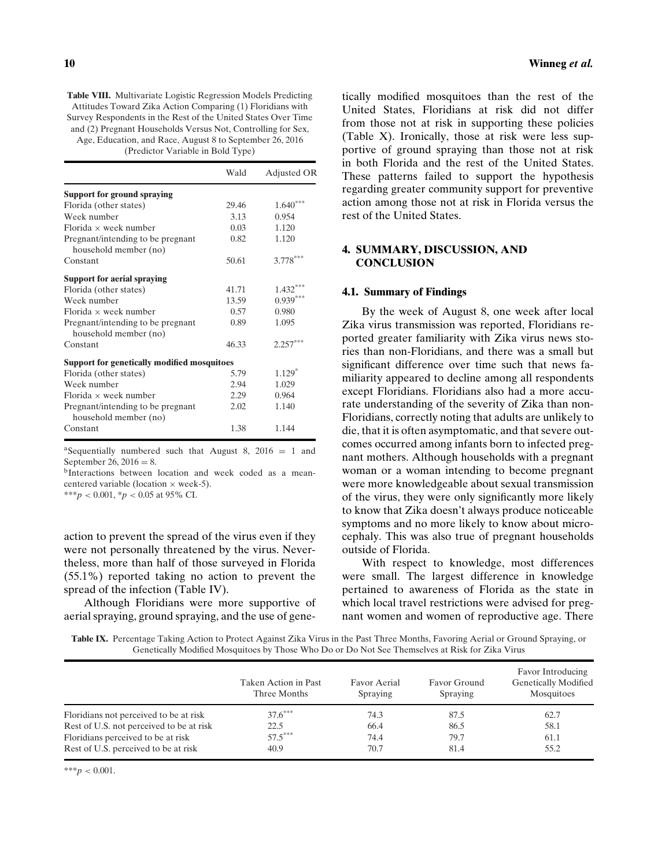**Table VIII.** Multivariate Logistic Regression Models Predicting Attitudes Toward Zika Action Comparing (1) Floridians with Survey Respondents in the Rest of the United States Over Time and (2) Pregnant Households Versus Not, Controlling for Sex, Age, Education, and Race, August 8 to September 26, 2016 (Predictor Variable in Bold Type)

|                                                            | Wald  | Adjusted OR |
|------------------------------------------------------------|-------|-------------|
| <b>Support for ground spraying</b>                         |       |             |
| Florida (other states)                                     | 29.46 | $1.640***$  |
| Week number                                                | 3.13  | 0.954       |
| Florida $\times$ week number                               | 0.03  | 1.120       |
| Pregnant/intending to be pregnant                          | 0.82  | 1.120       |
| household member (no)<br>Constant                          | 50.61 | $3.778***$  |
| <b>Support for aerial spraying</b>                         |       |             |
| Florida (other states)                                     | 41.71 | $1.432***$  |
| Week number                                                | 13.59 | $0.939***$  |
| $Florida \times week$ number                               | 0.57  | 0.980       |
| Pregnant/intending to be pregnant<br>household member (no) | 0.89  | 1.095       |
| Constant                                                   | 46.33 | $2.257***$  |
| <b>Support for genetically modified mosquitoes</b>         |       |             |
| Florida (other states)                                     | 5.79  | $1.129*$    |
| Week number                                                | 2.94  | 1.029       |
| $Florida \times week$ number                               | 2.29  | 0.964       |
| Pregnant/intending to be pregnant<br>household member (no) | 2.02  | 1.140       |
| Constant                                                   | 1.38  | 1.144       |

<sup>a</sup>Sequentially numbered such that August 8, 2016 = 1 and September 26, 2016 = 8.

<sup>b</sup>Interactions between location and week coded as a meancentered variable (location  $\times$  week-5).

\*\*\**p <* 0.001, \**p <* 0.05 at 95% CI.

action to prevent the spread of the virus even if they were not personally threatened by the virus. Nevertheless, more than half of those surveyed in Florida (55.1%) reported taking no action to prevent the spread of the infection (Table IV).

Although Floridians were more supportive of aerial spraying, ground spraying, and the use of genetically modified mosquitoes than the rest of the United States, Floridians at risk did not differ from those not at risk in supporting these policies (Table X). Ironically, those at risk were less supportive of ground spraying than those not at risk in both Florida and the rest of the United States. These patterns failed to support the hypothesis regarding greater community support for preventive action among those not at risk in Florida versus the rest of the United States.

# **4. SUMMARY, DISCUSSION, AND CONCLUSION**

#### **4.1. Summary of Findings**

By the week of August 8, one week after local Zika virus transmission was reported, Floridians reported greater familiarity with Zika virus news stories than non-Floridians, and there was a small but significant difference over time such that news familiarity appeared to decline among all respondents except Floridians. Floridians also had a more accurate understanding of the severity of Zika than non-Floridians, correctly noting that adults are unlikely to die, that it is often asymptomatic, and that severe outcomes occurred among infants born to infected pregnant mothers. Although households with a pregnant woman or a woman intending to become pregnant were more knowledgeable about sexual transmission of the virus, they were only significantly more likely to know that Zika doesn't always produce noticeable symptoms and no more likely to know about microcephaly. This was also true of pregnant households outside of Florida.

With respect to knowledge, most differences were small. The largest difference in knowledge pertained to awareness of Florida as the state in which local travel restrictions were advised for pregnant women and women of reproductive age. There

Table IX. Percentage Taking Action to Protect Against Zika Virus in the Past Three Months, Favoring Aerial or Ground Spraying, or Genetically Modified Mosquitoes by Those Who Do or Do Not See Themselves at Risk for Zika Virus

|                                          | Taken Action in Past<br>Three Months | Favor Aerial<br>Spraying | Favor Ground<br>Spraying | Favor Introducing<br><b>Genetically Modified</b><br>Mosquitoes |
|------------------------------------------|--------------------------------------|--------------------------|--------------------------|----------------------------------------------------------------|
| Floridians not perceived to be at risk   | $37.6***$                            | 74.3                     | 87.5                     | 62.7                                                           |
| Rest of U.S. not perceived to be at risk | 22.5                                 | 66.4                     | 86.5                     | 58.1                                                           |
| Floridians perceived to be at risk       | $57.5***$                            | 74.4                     | 79.7                     | 61.1                                                           |
| Rest of U.S. perceived to be at risk     | 40.9                                 | 70.7                     | 81.4                     | 55.2                                                           |

 $***p < 0.001$ .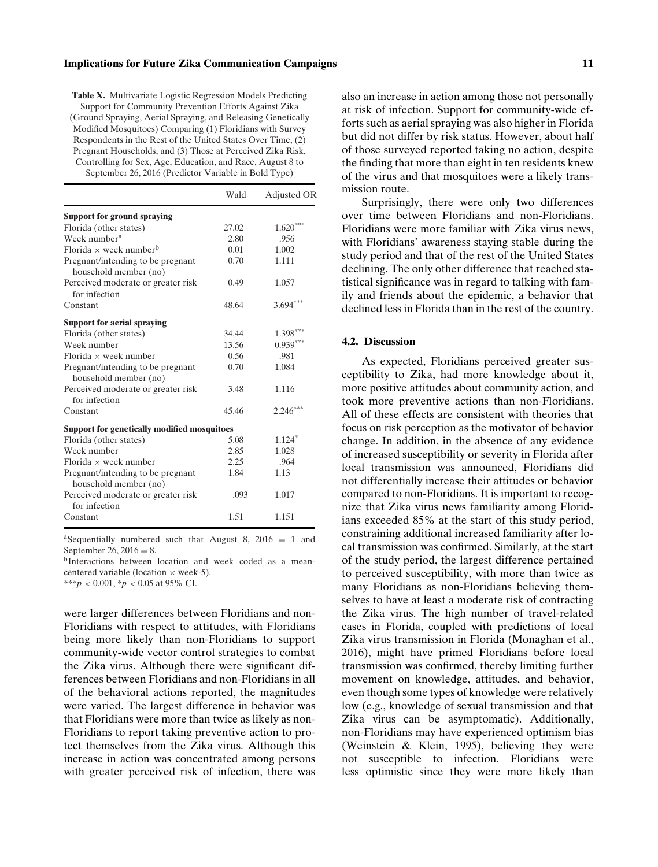**Table X.** Multivariate Logistic Regression Models Predicting Support for Community Prevention Efforts Against Zika (Ground Spraying, Aerial Spraying, and Releasing Genetically Modified Mosquitoes) Comparing (1) Floridians with Survey Respondents in the Rest of the United States Over Time, (2) Pregnant Households, and (3) Those at Perceived Zika Risk, Controlling for Sex, Age, Education, and Race, August 8 to September 26, 2016 (Predictor Variable in Bold Type)

|                                                            | Wald  | Adjusted OR |
|------------------------------------------------------------|-------|-------------|
| Support for ground spraying                                |       |             |
| Florida (other states)                                     | 27.02 | $1.620***$  |
| Week number <sup>a</sup>                                   | 2.80  | .956        |
| Florida $\times$ week number <sup>b</sup>                  | 0.01  | 1.002       |
| Pregnant/intending to be pregnant<br>household member (no) | 0.70  | 1.111       |
| Perceived moderate or greater risk                         | 0.49  | 1.057       |
| for infection                                              |       |             |
| Constant                                                   | 48.64 | $3.694***$  |
| <b>Support for aerial spraying</b>                         |       |             |
| Florida (other states)                                     | 34.44 | $1.398***$  |
| Week number                                                | 13.56 | $0.939***$  |
| Florida $\times$ week number                               | 0.56  | .981        |
| Pregnant/intending to be pregnant                          | 0.70  | 1.084       |
| household member (no)                                      |       |             |
| Perceived moderate or greater risk                         | 3.48  | 1.116       |
| for infection                                              |       |             |
| Constant                                                   | 45.46 | $2.246***$  |
| <b>Support for genetically modified mosquitoes</b>         |       |             |
| Florida (other states)                                     | 5.08  | $1.124*$    |
| Week number                                                | 2.85  | 1.028       |
| Florida $\times$ week number                               | 2.25  | .964        |
| Pregnant/intending to be pregnant<br>household member (no) | 1.84  | 1.13        |
| Perceived moderate or greater risk<br>for infection        | .093  | 1.017       |
| Constant                                                   | 1.51  | 1.151       |

<sup>a</sup>Sequentially numbered such that August 8, 2016 = 1 and September 26, 2016 = 8.

<sup>b</sup>Interactions between location and week coded as a meancentered variable (location  $\times$  week-5).

\*\*\**p <* 0.001, \**p <* 0.05 at 95% CI.

were larger differences between Floridians and non-Floridians with respect to attitudes, with Floridians being more likely than non-Floridians to support community-wide vector control strategies to combat the Zika virus. Although there were significant differences between Floridians and non-Floridians in all of the behavioral actions reported, the magnitudes were varied. The largest difference in behavior was that Floridians were more than twice as likely as non-Floridians to report taking preventive action to protect themselves from the Zika virus. Although this increase in action was concentrated among persons with greater perceived risk of infection, there was also an increase in action among those not personally at risk of infection. Support for community-wide efforts such as aerial spraying was also higher in Florida but did not differ by risk status. However, about half of those surveyed reported taking no action, despite the finding that more than eight in ten residents knew of the virus and that mosquitoes were a likely transmission route.

Surprisingly, there were only two differences over time between Floridians and non-Floridians. Floridians were more familiar with Zika virus news, with Floridians' awareness staying stable during the study period and that of the rest of the United States declining. The only other difference that reached statistical significance was in regard to talking with family and friends about the epidemic, a behavior that declined less in Florida than in the rest of the country.

## **4.2. Discussion**

As expected, Floridians perceived greater susceptibility to Zika, had more knowledge about it, more positive attitudes about community action, and took more preventive actions than non-Floridians. All of these effects are consistent with theories that focus on risk perception as the motivator of behavior change. In addition, in the absence of any evidence of increased susceptibility or severity in Florida after local transmission was announced, Floridians did not differentially increase their attitudes or behavior compared to non-Floridians. It is important to recognize that Zika virus news familiarity among Floridians exceeded 85% at the start of this study period, constraining additional increased familiarity after local transmission was confirmed. Similarly, at the start of the study period, the largest difference pertained to perceived susceptibility, with more than twice as many Floridians as non-Floridians believing themselves to have at least a moderate risk of contracting the Zika virus. The high number of travel-related cases in Florida, coupled with predictions of local Zika virus transmission in Florida (Monaghan et al., 2016), might have primed Floridians before local transmission was confirmed, thereby limiting further movement on knowledge, attitudes, and behavior, even though some types of knowledge were relatively low (e.g., knowledge of sexual transmission and that Zika virus can be asymptomatic). Additionally, non-Floridians may have experienced optimism bias (Weinstein & Klein, 1995), believing they were not susceptible to infection. Floridians were less optimistic since they were more likely than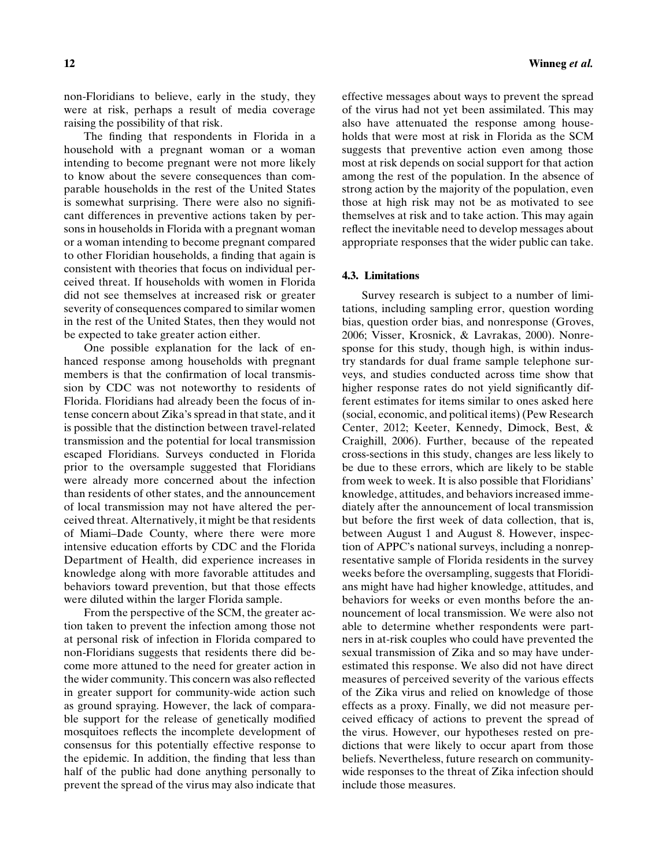non-Floridians to believe, early in the study, they were at risk, perhaps a result of media coverage raising the possibility of that risk.

The finding that respondents in Florida in a household with a pregnant woman or a woman intending to become pregnant were not more likely to know about the severe consequences than comparable households in the rest of the United States is somewhat surprising. There were also no significant differences in preventive actions taken by persons in households in Florida with a pregnant woman or a woman intending to become pregnant compared to other Floridian households, a finding that again is consistent with theories that focus on individual perceived threat. If households with women in Florida did not see themselves at increased risk or greater severity of consequences compared to similar women in the rest of the United States, then they would not be expected to take greater action either.

One possible explanation for the lack of enhanced response among households with pregnant members is that the confirmation of local transmission by CDC was not noteworthy to residents of Florida. Floridians had already been the focus of intense concern about Zika's spread in that state, and it is possible that the distinction between travel-related transmission and the potential for local transmission escaped Floridians. Surveys conducted in Florida prior to the oversample suggested that Floridians were already more concerned about the infection than residents of other states, and the announcement of local transmission may not have altered the perceived threat. Alternatively, it might be that residents of Miami–Dade County, where there were more intensive education efforts by CDC and the Florida Department of Health, did experience increases in knowledge along with more favorable attitudes and behaviors toward prevention, but that those effects were diluted within the larger Florida sample.

From the perspective of the SCM, the greater action taken to prevent the infection among those not at personal risk of infection in Florida compared to non-Floridians suggests that residents there did become more attuned to the need for greater action in the wider community. This concern was also reflected in greater support for community-wide action such as ground spraying. However, the lack of comparable support for the release of genetically modified mosquitoes reflects the incomplete development of consensus for this potentially effective response to the epidemic. In addition, the finding that less than half of the public had done anything personally to prevent the spread of the virus may also indicate that

effective messages about ways to prevent the spread of the virus had not yet been assimilated. This may also have attenuated the response among households that were most at risk in Florida as the SCM suggests that preventive action even among those most at risk depends on social support for that action among the rest of the population. In the absence of strong action by the majority of the population, even those at high risk may not be as motivated to see themselves at risk and to take action. This may again reflect the inevitable need to develop messages about appropriate responses that the wider public can take.

### **4.3. Limitations**

Survey research is subject to a number of limitations, including sampling error, question wording bias, question order bias, and nonresponse (Groves, 2006; Visser, Krosnick, & Lavrakas, 2000). Nonresponse for this study, though high, is within industry standards for dual frame sample telephone surveys, and studies conducted across time show that higher response rates do not yield significantly different estimates for items similar to ones asked here (social, economic, and political items) (Pew Research Center, 2012; Keeter, Kennedy, Dimock, Best, & Craighill, 2006). Further, because of the repeated cross-sections in this study, changes are less likely to be due to these errors, which are likely to be stable from week to week. It is also possible that Floridians' knowledge, attitudes, and behaviors increased immediately after the announcement of local transmission but before the first week of data collection, that is, between August 1 and August 8. However, inspection of APPC's national surveys, including a nonrepresentative sample of Florida residents in the survey weeks before the oversampling, suggests that Floridians might have had higher knowledge, attitudes, and behaviors for weeks or even months before the announcement of local transmission. We were also not able to determine whether respondents were partners in at-risk couples who could have prevented the sexual transmission of Zika and so may have underestimated this response. We also did not have direct measures of perceived severity of the various effects of the Zika virus and relied on knowledge of those effects as a proxy. Finally, we did not measure perceived efficacy of actions to prevent the spread of the virus. However, our hypotheses rested on predictions that were likely to occur apart from those beliefs. Nevertheless, future research on communitywide responses to the threat of Zika infection should include those measures.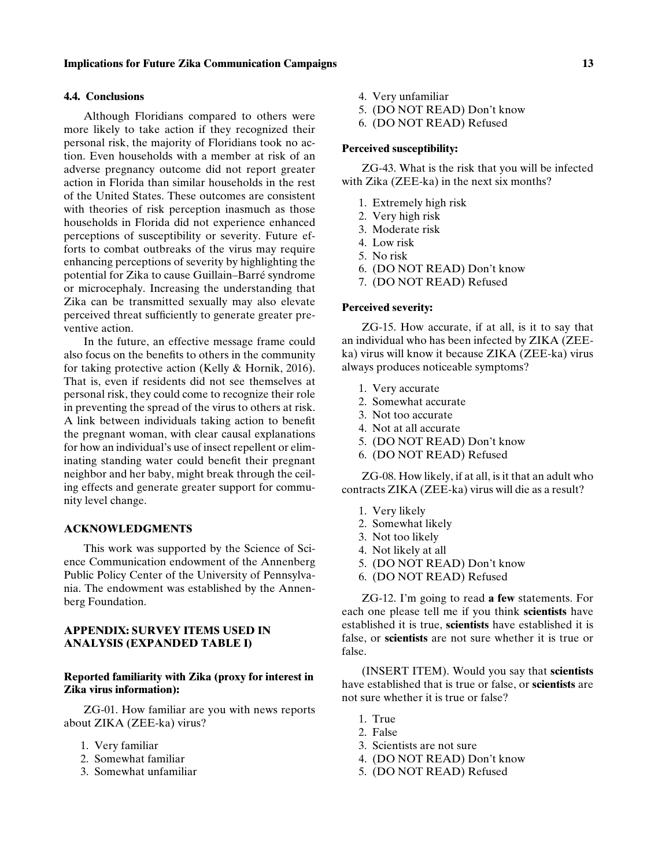#### **Implications for Future Zika Communication Campaigns 13**

# **4.4. Conclusions**

Although Floridians compared to others were more likely to take action if they recognized their personal risk, the majority of Floridians took no action. Even households with a member at risk of an adverse pregnancy outcome did not report greater action in Florida than similar households in the rest of the United States. These outcomes are consistent with theories of risk perception inasmuch as those households in Florida did not experience enhanced perceptions of susceptibility or severity. Future efforts to combat outbreaks of the virus may require enhancing perceptions of severity by highlighting the potential for Zika to cause Guillain–Barré syndrome or microcephaly. Increasing the understanding that Zika can be transmitted sexually may also elevate perceived threat sufficiently to generate greater preventive action.

In the future, an effective message frame could also focus on the benefits to others in the community for taking protective action (Kelly & Hornik, 2016). That is, even if residents did not see themselves at personal risk, they could come to recognize their role in preventing the spread of the virus to others at risk. A link between individuals taking action to benefit the pregnant woman, with clear causal explanations for how an individual's use of insect repellent or eliminating standing water could benefit their pregnant neighbor and her baby, might break through the ceiling effects and generate greater support for community level change.

# **ACKNOWLEDGMENTS**

This work was supported by the Science of Science Communication endowment of the Annenberg Public Policy Center of the University of Pennsylvania. The endowment was established by the Annenberg Foundation.

# **APPENDIX: SURVEY ITEMS USED IN ANALYSIS (EXPANDED TABLE I)**

# **Reported familiarity with Zika (proxy for interest in Zika virus information):**

ZG-01. How familiar are you with news reports about ZIKA (ZEE-ka) virus?

- 1. Very familiar
- 2. Somewhat familiar
- 3. Somewhat unfamiliar
- 4. Very unfamiliar
- 5. (DO NOT READ) Don't know
- 6. (DO NOT READ) Refused

#### **Perceived susceptibility:**

ZG-43. What is the risk that you will be infected with Zika (ZEE-ka) in the next six months?

- 1. Extremely high risk
- 2. Very high risk
- 3. Moderate risk
- 4. Low risk
- 5. No risk
- 6. (DO NOT READ) Don't know
- 7. (DO NOT READ) Refused

### **Perceived severity:**

ZG-15. How accurate, if at all, is it to say that an individual who has been infected by ZIKA (ZEEka) virus will know it because ZIKA (ZEE-ka) virus always produces noticeable symptoms?

- 1. Very accurate
- 2. Somewhat accurate
- 3. Not too accurate
- 4. Not at all accurate
- 5. (DO NOT READ) Don't know
- 6. (DO NOT READ) Refused

ZG-08. How likely, if at all, is it that an adult who contracts ZIKA (ZEE-ka) virus will die as a result?

- 1. Very likely
- 2. Somewhat likely
- 3. Not too likely
- 4. Not likely at all
- 5. (DO NOT READ) Don't know
- 6. (DO NOT READ) Refused

ZG-12. I'm going to read **a few** statements. For each one please tell me if you think **scientists** have established it is true, **scientists** have established it is false, or **scientists** are not sure whether it is true or false.

(INSERT ITEM). Would you say that **scientists** have established that is true or false, or **scientists** are not sure whether it is true or false?

- 1. True
- 2. False
- 3. Scientists are not sure
- 4. (DO NOT READ) Don't know
- 5. (DO NOT READ) Refused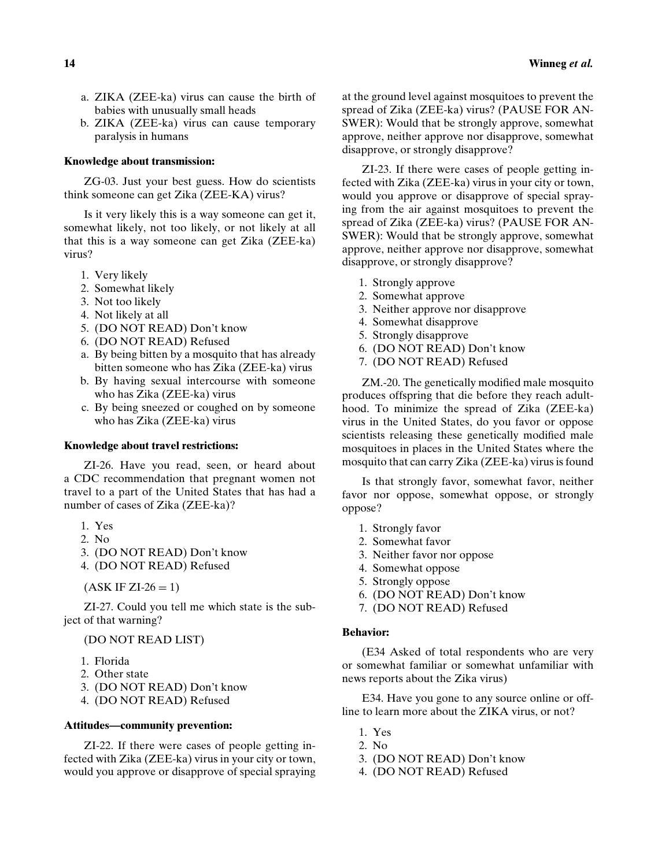- a. ZIKA (ZEE-ka) virus can cause the birth of babies with unusually small heads
- b. ZIKA (ZEE-ka) virus can cause temporary paralysis in humans

### **Knowledge about transmission:**

ZG-03. Just your best guess. How do scientists think someone can get Zika (ZEE-KA) virus?

Is it very likely this is a way someone can get it, somewhat likely, not too likely, or not likely at all that this is a way someone can get Zika (ZEE-ka) virus?

- 1. Very likely
- 2. Somewhat likely
- 3. Not too likely
- 4. Not likely at all
- 5. (DO NOT READ) Don't know
- 6. (DO NOT READ) Refused
- a. By being bitten by a mosquito that has already bitten someone who has Zika (ZEE-ka) virus
- b. By having sexual intercourse with someone who has Zika (ZEE-ka) virus
- c. By being sneezed or coughed on by someone who has Zika (ZEE-ka) virus

# **Knowledge about travel restrictions:**

ZI-26. Have you read, seen, or heard about a CDC recommendation that pregnant women not travel to a part of the United States that has had a number of cases of Zika (ZEE-ka)?

- 1. Yes
- 2. No
- 3. (DO NOT READ) Don't know
- 4. (DO NOT READ) Refused

 $(ASK IF ZI-26 = 1)$ 

ZI-27. Could you tell me which state is the subject of that warning?

# (DO NOT READ LIST)

- 1. Florida
- 2. Other state
- 3. (DO NOT READ) Don't know
- 4. (DO NOT READ) Refused

## **Attitudes—community prevention:**

ZI-22. If there were cases of people getting infected with Zika (ZEE-ka) virus in your city or town, would you approve or disapprove of special spraying at the ground level against mosquitoes to prevent the spread of Zika (ZEE-ka) virus? (PAUSE FOR AN-SWER): Would that be strongly approve, somewhat approve, neither approve nor disapprove, somewhat disapprove, or strongly disapprove?

ZI-23. If there were cases of people getting infected with Zika (ZEE-ka) virus in your city or town, would you approve or disapprove of special spraying from the air against mosquitoes to prevent the spread of Zika (ZEE-ka) virus? (PAUSE FOR AN-SWER): Would that be strongly approve, somewhat approve, neither approve nor disapprove, somewhat disapprove, or strongly disapprove?

- 1. Strongly approve
- 2. Somewhat approve
- 3. Neither approve nor disapprove
- 4. Somewhat disapprove
- 5. Strongly disapprove
- 6. (DO NOT READ) Don't know
- 7. (DO NOT READ) Refused

ZM.-20. The genetically modified male mosquito produces offspring that die before they reach adulthood. To minimize the spread of Zika (ZEE-ka) virus in the United States, do you favor or oppose scientists releasing these genetically modified male mosquitoes in places in the United States where the mosquito that can carry Zika (ZEE-ka) virus is found

Is that strongly favor, somewhat favor, neither favor nor oppose, somewhat oppose, or strongly oppose?

- 1. Strongly favor
- 2. Somewhat favor
- 3. Neither favor nor oppose
- 4. Somewhat oppose
- 5. Strongly oppose
- 6. (DO NOT READ) Don't know
- 7. (DO NOT READ) Refused

## **Behavior:**

(E34 Asked of total respondents who are very or somewhat familiar or somewhat unfamiliar with news reports about the Zika virus)

E34. Have you gone to any source online or offline to learn more about the ZIKA virus, or not?

- 1. Yes
- 2. No
- 3. (DO NOT READ) Don't know
- 4. (DO NOT READ) Refused